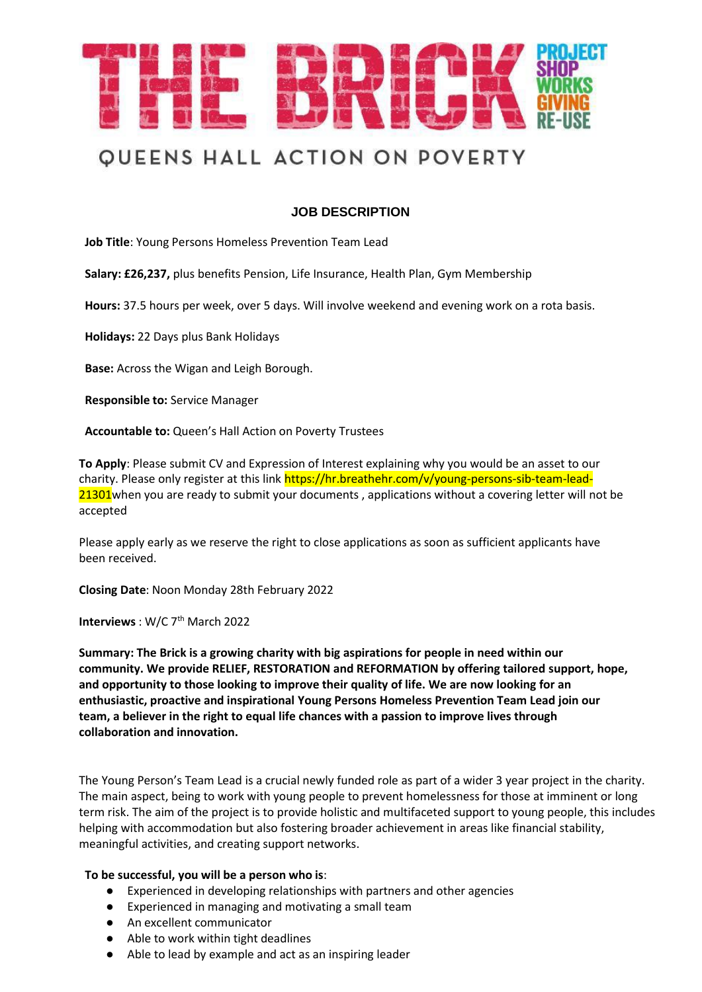

### **JOB DESCRIPTION**

**Job Title**: Young Persons Homeless Prevention Team Lead

**Salary: £26,237,** plus benefits Pension, Life Insurance, Health Plan, Gym Membership

**Hours:** 37.5 hours per week, over 5 days. Will involve weekend and evening work on a rota basis.

**Holidays:** 22 Days plus Bank Holidays

**Base:** Across the Wigan and Leigh Borough.

**Responsible to:** Service Manager

**Accountable to:** Queen's Hall Action on Poverty Trustees

**To Apply**: Please submit CV and Expression of Interest explaining why you would be an asset to our charity. Please only register at this link https://hr.breathehr.com/v/young-persons-sib-team-lead-21301 when you are ready to submit your documents, applications without a covering letter will not be accepted

Please apply early as we reserve the right to close applications as soon as sufficient applicants have been received.

**Closing Date**: Noon Monday 28th February 2022

**Interviews** : W/C 7<sup>th</sup> March 2022

**Summary: The Brick is a growing charity with big aspirations for people in need within our community. We provide RELIEF, RESTORATION and REFORMATION by offering tailored support, hope, and opportunity to those looking to improve their quality of life. We are now looking for an enthusiastic, proactive and inspirational Young Persons Homeless Prevention Team Lead join our team, a believer in the right to equal life chances with a passion to improve lives through collaboration and innovation.**

The Young Person's Team Lead is a crucial newly funded role as part of a wider 3 year project in the charity. The main aspect, being to work with young people to prevent homelessness for those at imminent or long term risk. The aim of the project is to provide holistic and multifaceted support to young people, this includes helping with accommodation but also fostering broader achievement in areas like financial stability, meaningful activities, and creating support networks.

#### **To be successful, you will be a person who is**:

- Experienced in developing relationships with partners and other agencies
- Experienced in managing and motivating a small team
- An excellent communicator
- Able to work within tight deadlines
- Able to lead by example and act as an inspiring leader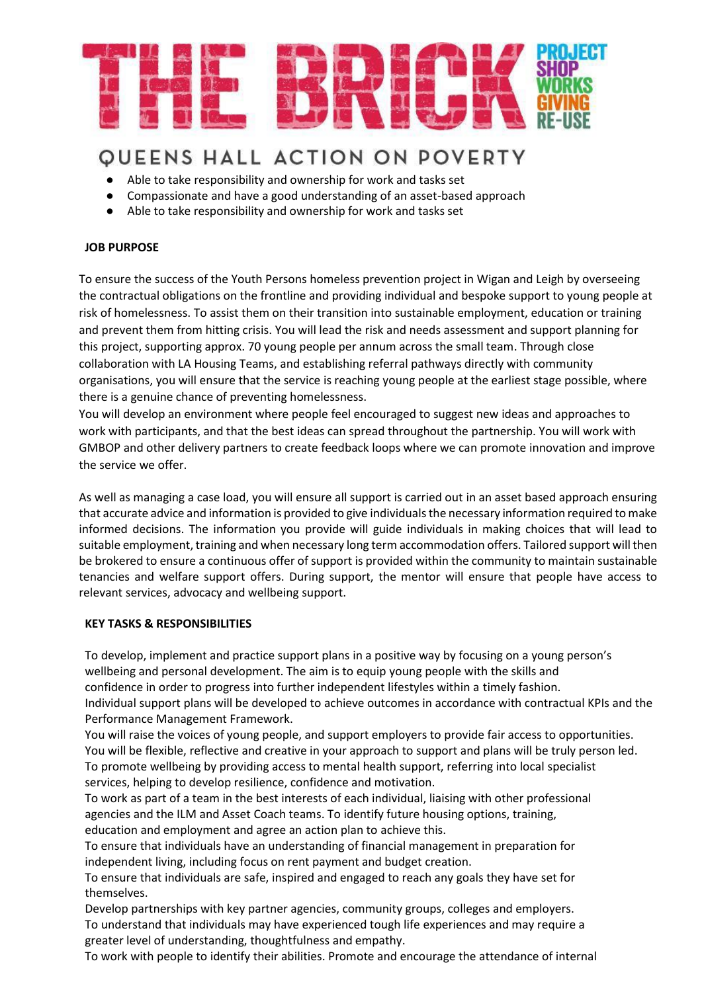

- Able to take responsibility and ownership for work and tasks set
- Compassionate and have a good understanding of an asset-based approach
- Able to take responsibility and ownership for work and tasks set

#### **JOB PURPOSE**

To ensure the success of the Youth Persons homeless prevention project in Wigan and Leigh by overseeing the contractual obligations on the frontline and providing individual and bespoke support to young people at risk of homelessness. To assist them on their transition into sustainable employment, education or training and prevent them from hitting crisis. You will lead the risk and needs assessment and support planning for this project, supporting approx. 70 young people per annum across the small team. Through close collaboration with LA Housing Teams, and establishing referral pathways directly with community organisations, you will ensure that the service is reaching young people at the earliest stage possible, where there is a genuine chance of preventing homelessness.

You will develop an environment where people feel encouraged to suggest new ideas and approaches to work with participants, and that the best ideas can spread throughout the partnership. You will work with GMBOP and other delivery partners to create feedback loops where we can promote innovation and improve the service we offer.

As well as managing a case load, you will ensure all support is carried out in an asset based approach ensuring that accurate advice and information is provided to give individuals the necessary information required to make informed decisions. The information you provide will guide individuals in making choices that will lead to suitable employment, training and when necessary long term accommodation offers. Tailored support will then be brokered to ensure a continuous offer of support is provided within the community to maintain sustainable tenancies and welfare support offers. During support, the mentor will ensure that people have access to relevant services, advocacy and wellbeing support.

#### **KEY TASKS & RESPONSIBILITIES**

To develop, implement and practice support plans in a positive way by focusing on a young person's wellbeing and personal development. The aim is to equip young people with the skills and confidence in order to progress into further independent lifestyles within a timely fashion. Individual support plans will be developed to achieve outcomes in accordance with contractual KPIs and the Performance Management Framework.

You will raise the voices of young people, and support employers to provide fair access to opportunities. You will be flexible, reflective and creative in your approach to support and plans will be truly person led. To promote wellbeing by providing access to mental health support, referring into local specialist services, helping to develop resilience, confidence and motivation.

To work as part of a team in the best interests of each individual, liaising with other professional agencies and the ILM and Asset Coach teams. To identify future housing options, training, education and employment and agree an action plan to achieve this.

To ensure that individuals have an understanding of financial management in preparation for independent living, including focus on rent payment and budget creation.

To ensure that individuals are safe, inspired and engaged to reach any goals they have set for themselves.

Develop partnerships with key partner agencies, community groups, colleges and employers. To understand that individuals may have experienced tough life experiences and may require a greater level of understanding, thoughtfulness and empathy.

To work with people to identify their abilities. Promote and encourage the attendance of internal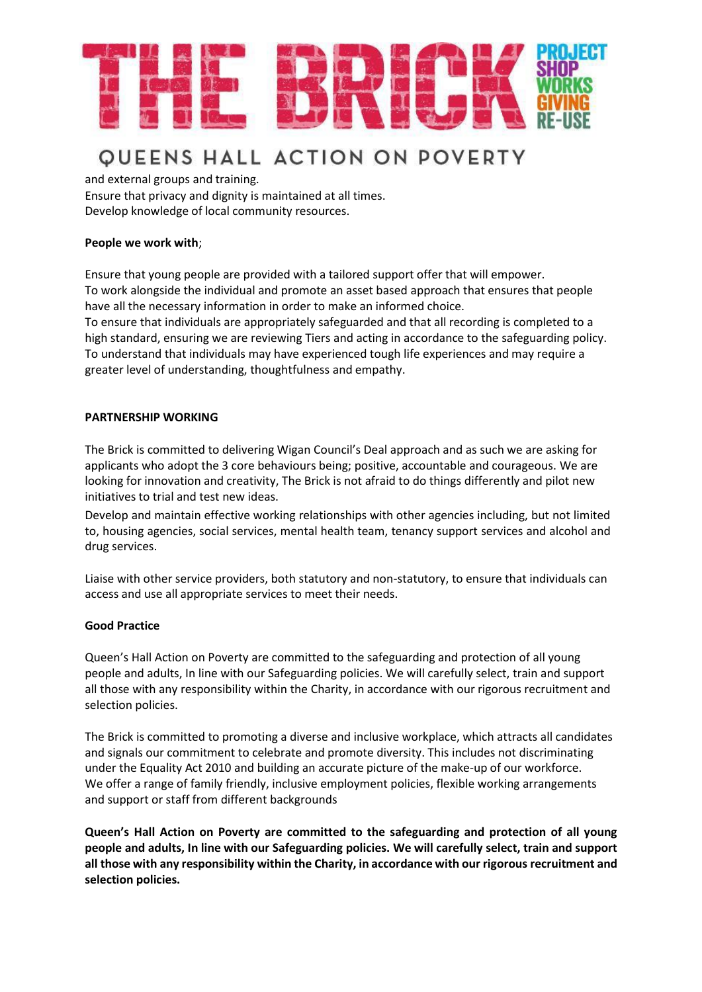

and external groups and training.

Ensure that privacy and dignity is maintained at all times. Develop knowledge of local community resources.

#### **People we work with**;

Ensure that young people are provided with a tailored support offer that will empower. To work alongside the individual and promote an asset based approach that ensures that people have all the necessary information in order to make an informed choice. To ensure that individuals are appropriately safeguarded and that all recording is completed to a high standard, ensuring we are reviewing Tiers and acting in accordance to the safeguarding policy. To understand that individuals may have experienced tough life experiences and may require a greater level of understanding, thoughtfulness and empathy.

#### **PARTNERSHIP WORKING**

The Brick is committed to delivering Wigan Council's Deal approach and as such we are asking for applicants who adopt the 3 core behaviours being; positive, accountable and courageous. We are looking for innovation and creativity, The Brick is not afraid to do things differently and pilot new initiatives to trial and test new ideas.

Develop and maintain effective working relationships with other agencies including, but not limited to, housing agencies, social services, mental health team, tenancy support services and alcohol and drug services.

Liaise with other service providers, both statutory and non-statutory, to ensure that individuals can access and use all appropriate services to meet their needs.

#### **Good Practice**

Queen's Hall Action on Poverty are committed to the safeguarding and protection of all young people and adults, In line with our Safeguarding policies. We will carefully select, train and support all those with any responsibility within the Charity, in accordance with our rigorous recruitment and selection policies.

The Brick is committed to promoting a diverse and inclusive workplace, which attracts all candidates and signals our commitment to celebrate and promote diversity. This includes not discriminating under the Equality Act 2010 and building an accurate picture of the make-up of our workforce. We offer a range of family friendly, inclusive employment policies, flexible working arrangements and support or staff from different backgrounds

**Queen's Hall Action on Poverty are committed to the safeguarding and protection of all young people and adults, In line with our Safeguarding policies. We will carefully select, train and support all those with any responsibility within the Charity, in accordance with our rigorous recruitment and selection policies.**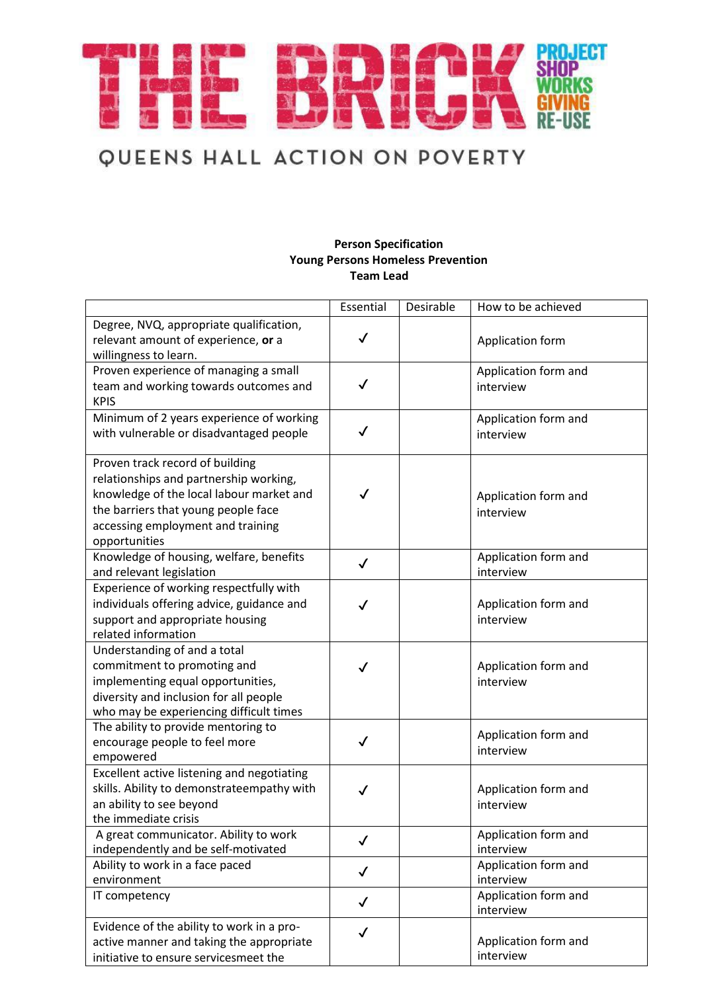

#### **Person Specification Young Persons Homeless Prevention Team Lead**

|                                                  | Essential    | Desirable | How to be achieved   |
|--------------------------------------------------|--------------|-----------|----------------------|
| Degree, NVQ, appropriate qualification,          |              |           |                      |
| relevant amount of experience, or a              | $\checkmark$ |           | Application form     |
| willingness to learn.                            |              |           |                      |
| Proven experience of managing a small            |              |           | Application form and |
| team and working towards outcomes and            | $\checkmark$ |           | interview            |
| <b>KPIS</b>                                      |              |           |                      |
| Minimum of 2 years experience of working         |              |           | Application form and |
| with vulnerable or disadvantaged people          | $\checkmark$ |           | interview            |
|                                                  |              |           |                      |
| Proven track record of building                  |              |           |                      |
| relationships and partnership working,           |              |           |                      |
| knowledge of the local labour market and         | $\checkmark$ |           | Application form and |
| the barriers that young people face              |              |           | interview            |
| accessing employment and training                |              |           |                      |
| opportunities                                    |              |           |                      |
| Knowledge of housing, welfare, benefits          | $\checkmark$ |           | Application form and |
| and relevant legislation                         |              |           | interview            |
| Experience of working respectfully with          |              |           |                      |
| individuals offering advice, guidance and        |              |           | Application form and |
| support and appropriate housing                  |              |           | interview            |
| related information                              |              |           |                      |
| Understanding of and a total                     |              |           |                      |
| commitment to promoting and                      | $\checkmark$ |           | Application form and |
| implementing equal opportunities,                |              |           | interview            |
| diversity and inclusion for all people           |              |           |                      |
| who may be experiencing difficult times          |              |           |                      |
| The ability to provide mentoring to              | $\checkmark$ |           | Application form and |
| encourage people to feel more<br>empowered       |              |           | interview            |
| Excellent active listening and negotiating       |              |           |                      |
| skills. Ability to demonstrateempathy with       |              |           |                      |
|                                                  | ✓            |           | Application form and |
| an ability to see beyond<br>the immediate crisis |              |           | interview            |
| A great communicator. Ability to work            |              |           | Application form and |
| independently and be self-motivated              | $\checkmark$ |           | interview            |
| Ability to work in a face paced                  |              |           | Application form and |
| environment                                      | $\checkmark$ |           | interview            |
| IT competency                                    |              |           | Application form and |
|                                                  | $\checkmark$ |           | interview            |
| Evidence of the ability to work in a pro-        | $\checkmark$ |           |                      |
| active manner and taking the appropriate         |              |           | Application form and |
| initiative to ensure servicesmeet the            |              |           | interview            |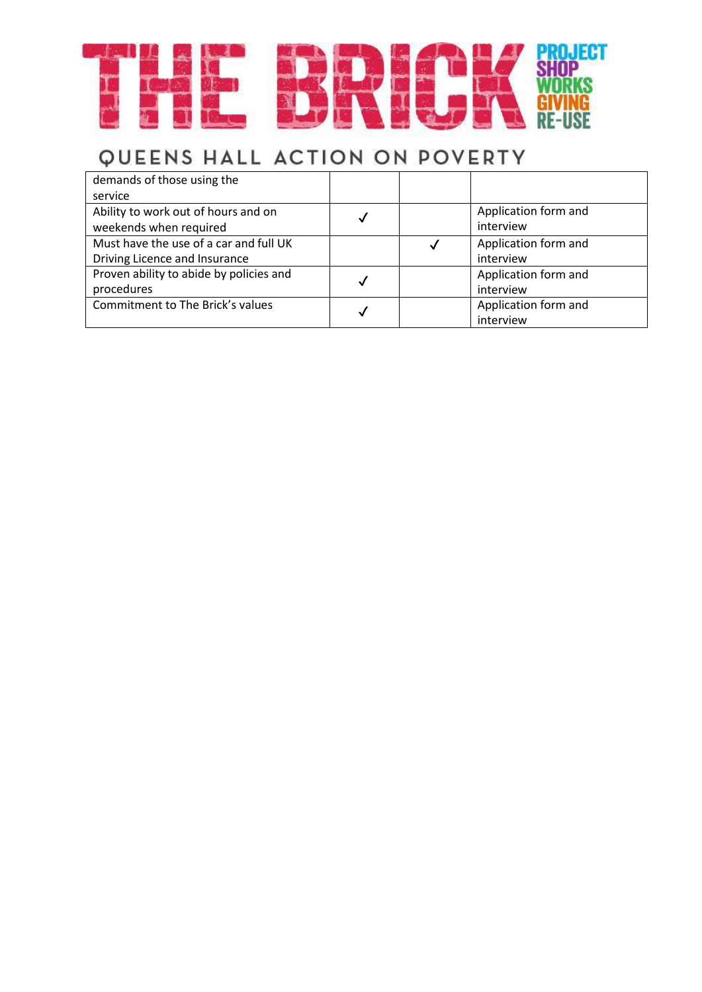

| demands of those using the              |   |   |                      |
|-----------------------------------------|---|---|----------------------|
| service                                 |   |   |                      |
| Ability to work out of hours and on     |   |   | Application form and |
| weekends when required                  | √ |   | interview            |
| Must have the use of a car and full UK  |   | √ | Application form and |
| Driving Licence and Insurance           |   |   | interview            |
| Proven ability to abide by policies and |   |   | Application form and |
| procedures                              | √ |   | interview            |
| Commitment to The Brick's values        | J |   | Application form and |
|                                         |   |   | interview            |